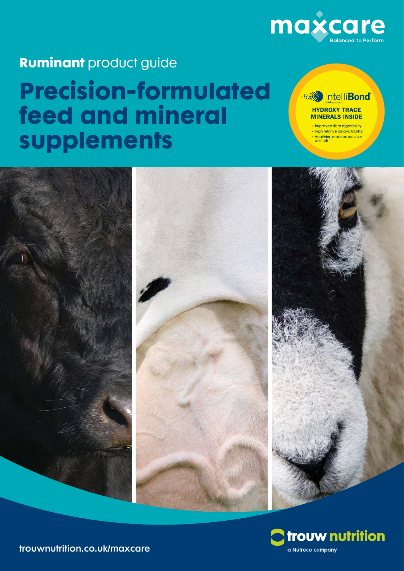

## **Ruminant** product guide **Precision-formulated feed and mineral supplements**

#### Intelli**Bond HYDROXY TRACE MINERALS INSIDE**

• Improved fibre digestibility • High relative bioavailability · Healthier, more productive<br>animals





trouwnutrition.co.uk/maxcare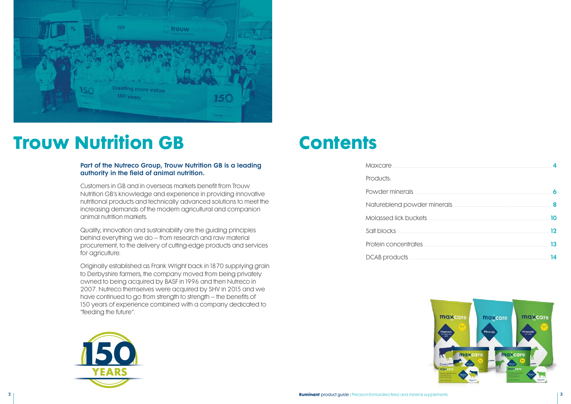

# **Trouw Nutrition GB Contents**

#### Part of the Nutreco Group, Trouw Nutrition GB is a leading authority in the field of animal nutrition.

Customers in GB and in overseas markets benefit from Trouw Nutrition GB's knowledge and experience in providing innovative nutritional products and technically advanced solutions to meet the increasing demands of the modern agricultural and companion animal nutrition markets.

Quality, innovation and sustainability are the guiding principles behind everything we do – from research and raw material procurement, to the delivery of cutting-edge products and services for agriculture.

Originally established as Frank Wright back in 1870 supplying grain to Derbyshire farmers, the company moved from being privately owned to being acquired by BASF in 1996 and then Nutreco in 2007. Nutreco themselves were acquired by SHV in 2015 and we have continued to go from strength to strength – the benefits of 150 years of experience combined with a company dedicated to "feeding the future".



| Maxcare <b>Maxcare</b>                                                                                                                                                                                                               |    |
|--------------------------------------------------------------------------------------------------------------------------------------------------------------------------------------------------------------------------------------|----|
| Products:                                                                                                                                                                                                                            |    |
|                                                                                                                                                                                                                                      |    |
| Natureblend powder minerals <b>with an allowable of the contract of the contract of the contract of the contract of the contract of the contract of the contract of the contract of the contract of the contract of the contract</b> |    |
| Molassed lick buckets <b>with a contract of the contract of the contract of the contract of the contract of the contract of the contract of the contract of the contract of the contract of the contract of the contract of the </b> | חו |
| Salt blocks <b><i>manually</i></b>                                                                                                                                                                                                   | פי |
| Protein concentrates <b>manufactures</b>                                                                                                                                                                                             | 13 |
| DCAB products                                                                                                                                                                                                                        |    |

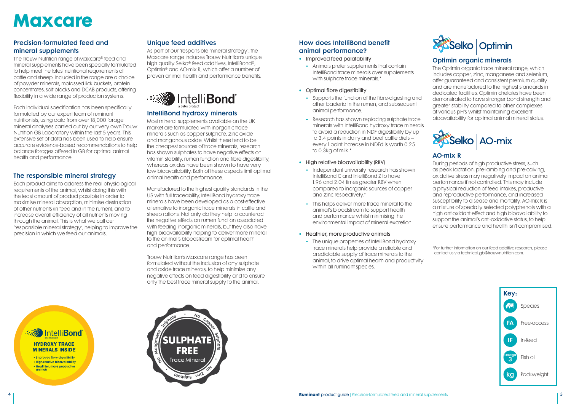# **Maxcare**

#### Precision-formulated feed and mineral supplements

The Trouw Nutrition range of Maxcare® feed and mineral supplements have been specially formulated to help meet the latest nutritional requirements of cattle and sheep. Included in the range are a choice of powder minerals, molassed lick buckets, protein concentrates, salt blocks and DCAB products, offering flexibility in a wide range of production systems.

Each individual specification has been specifically formulated by our expert team of ruminant nutritionists, using data from over 18,000 forage mineral analyses carried out by our very own Trouw Nutrition GB Laboratory within the last 5 years. This extensive set of data has been used to help ensure accurate evidence-based recommendations to help balance forages offered in GB for optimal animal health and performance.

#### The responsible mineral strategy

Each product aims to address the real physiological requirements of the animal, whilst doing this with the least amount of product possible in order to maximise mineral absorption, minimise destruction of other nutrients (in feed and in the rumen), and to increase overall efficiency of all nutrients moving through the animal. This is what we call our 'responsible mineral strategy', helping to improve the precision in which we feed our animals.

#### Unique feed additives

As part of our 'responsible mineral strategy', the Maxcare range includes Trouw Nutrition's unique high quality Selko® feed additives, IntelliBond®, Optimin® and AO-mix R, which offer a number of proven animal health and performance benefits.



#### IntelliBond hydroxy minerals

Most mineral supplements available on the UK market are formulated with inorganic trace minerals such as copper sulphate, zinc oxide and manganous oxide. Whilst these tend to be the cheapest sources of trace minerals, research has shown sulphates to have negative effects on vitamin stability, rumen function and fibre digestibility, whereas oxides have been shown to have very low bioavailability. Both of these aspects limit optimal animal health and performance.

Manufactured to the highest quality standards in the US with full traceability, IntelliBond hydroxy trace minerals have been developed as a cost-effective alternative to inorganic trace minerals in cattle and sheep rations. Not only do they help to counteract the negative effects on rumen function associated with feeding inorganic minerals, but they also have high bioavailability helping to deliver more mineral to the animal's bloodstream for optimal health and performance.

Trouw Nutrition's Maxcare range has been formulated without the inclusion of any sulphate and oxide trace minerals, to help minimise any negative effects on feed digestibility and to ensure only the best trace mineral supply to the animal.

#### How does IntelliBond benefit animal performance?

- Improved feed palatability
	- **-** Animals prefer supplements that contain IntelliBond trace minerals over supplements with sulphate trace minerals.<sup>\*</sup>
- Optimal fibre digestibility
	- **-** Supports the function of the fibre-digesting and other bacteria in the rumen, and subsequent animal performance.
	- **-** Research has shown replacing sulphate trace minerals with IntelliBond hydroxy trace minerals to avoid a reduction in NDF digestibility by up to 3.4 points in dairy and beef cattle diets – every 1 point increase in NDFd is worth 0.25 to 0.3kg of milk.\*
- High relative bioavailability (RBV)
	- **-** Independent university research has shown IntelliBond C and IntelliBond Z to have 1.96 and 2.04 times areater RBV when compared to inorganic sources of copper and zinc respectively.\*
	- **-** This helps deliver more trace mineral to the animal's bloodstream to support health and performance whilst minimising the environmental impact of mineral excretion.
- Heathier, more productive animals
	- **-** The unique properties of IntelliBond hydroxy trace minerals help provide a reliable and predictable supply of trace minerals to the animal, to drive optimal health and productivity within all ruminant species.

### **Media The Sond** intelli**Bond**

**HYDROXY TRACE MINERALS INSIDE** 

• Improved fibre digestibility . High relative bioavailability · Healthier, more productive<br>animals





#### Optimin organic minerals

The Optimin organic trace mineral range, which includes copper, zinc, manganese and selenium, offer guaranteed and consistent premium quality and are manufactured to the highest standards in dedicated facilities. Optimin chelates have been demonstrated to have stronger bond strength and greater stability compared to other complexes at various pH's whilst maintaining excellent bioavailability for optimal animal mineral status.



#### AO-mix R

During periods of high productive stress, such as peak lactation, pre-lambing and pre-calving, oxidative stress may negatively impact on animal performance if not controlled. This may include a physical reduction of feed intakes, productive and reproductive performance, and increased susceptibility to disease and mortality. AO-mix R is a mixture of specially selected polyphenols with a high antioxidant effect and high bioavailability to support the animal's anti-oxidative status, to help ensure performance and health isn't compromised.

\* For further information on our feed additive research, please contact us via technical.gb@trouwnutrition.com.

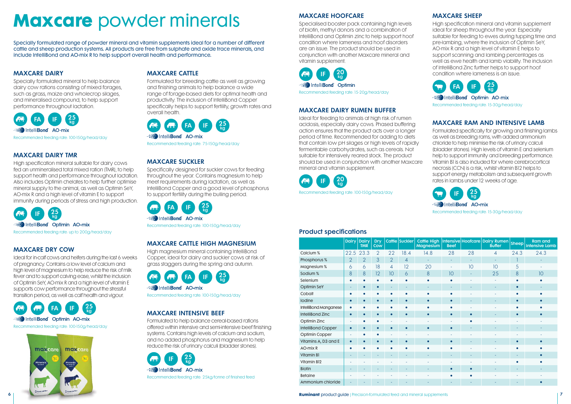# **Maxcare** powder minerals

Specially formulated range of powder mineral and vitamin supplements ideal for a number of different cattle and sheep production systems. All products are free from sulphate and oxide trace minerals, and include IntelliBond and AO-mix R to help support overall health and performance.

#### MAXCARE DAIRY

Specially formulated mineral to help balance dairy cow rations consisting of mixed forages, such as grass, maize and wholecrop silages, and mineralised compound, to help support performance throughout lactation.



#### MAXCARE DAIRY TMR

High specification mineral suitable for dairy cows fed an unmineralised total mixed ration (TMR), to help support health and performance throughout lactation. Also includes Optimin chelates to help further optimise mineral supply to the animal, as well as Optimin SeY, AO-mix R and a high level of vitamin E to support immunity during periods of stress and high production.



**AO-mix** Intelli**Bond** AO-mix Recommended feeding rate: 100-150g/head/day

#### MAXCARE DRY COW

Ideal for in-calf cows and heifers during the last 6 weeks of pregnancy. Contains a low level of calcium and high level of magnesium to help reduce the risk of milk fever and to support calving ease, whilst the inclusion of Optimin SeY, AO-mix R and a high level of vitamin E supports cow performance throughout the stressful transition period, as well as calf health and vigour.



Recommended feeding rate: 100-150g/head/day



#### MAXCARE CATTLE

**IF** 20 kg **Bond Optimin** Recommended feeding rate: 15-20g/head/day

Formulated for breeding cattle as well as growing and finishing animals to help balance a wide range of forage-based diets for optimal health and productivity. The inclusion of IntelliBond Copper specifically helps to support fertility, growth rates and overall health.



#### MAXCARE SUCKLER

Specifically designed for suckler cows for feeding throughout the year. Contains magnesium to help meet requirements during lactation, as well as IntelliBond Copper and a good level of phosphorus to support fertility during the bulling period.



#### MAXCARE CATTLE HIGH MAGNESIUM

High magnesium mineral containing IntelliBond Copper, ideal for dairy and suckler cows at risk of grass staggers during the spring and autumn.



Recommended feeding rate: 100-150g/head/day

#### MAXCARE INTENSIVE BEEF

Formulated to help balance cereal-based rations offered within intensive and semi-intensive beef finishing systems. Contains high levels of calcium and sodium, and no added phosphorus and magnesium to help reduce the risk of urinary calculi (bladder stones).



#### MAXCARE HOOFCARE

Specialised booster pack containing high levels of biotin, methyl donors and a combination of IntelliBond and Optimin zinc to help support hoof condition where lameness and hoof disorders are an issue. The product should be used in conjunction with another Maxcare mineral and vitamin supplement.

#### MAXCARE DAIRY RUMEN BUFFER

Ideal for feeding to animals at high risk of rumen acidosis, especially dairy cows. Phased buffering action ensures that the product acts over a longer period of time. Recommended for adding to diets that contain low pH silages or high levels of rapidly fermentable carbohydrates, such as cereals. Not suitable for intensively reared stock. The product should be used in conjunction with another Maxcare mineral and vitamin supplement.



#### MAXCARE SHEEP

High specification mineral and vitamin supplement ideal for sheep throughout the year. Especially suitable for feeding to ewes during tupping time and pre-lambing, where the inclusion of Optimin SeY, AO-mix R and a high level of vitamin E helps to support scanning and lambing percentages as well as ewe health and lamb viability. The inclusion of IntelliBond Zinc further helps to support hoof condition where lameness is an issue.



IntelliBond Optimin AO-mix

Recommended feeding rate: 15-30g/head/day

#### MAXCARE RAM AND INTENSIVE LAMB

Formulated specifically for growing and finishing lambs as well as breeding rams, with added ammonium chloride to help minimise the risk of urinary calculi (bladder stones). High levels of vitamin E and selenium help to support immunity and breeding performance. Vitamin B1 is also included for where cerebrocortical necrosis (CCN) is a risk, whilst vitamin B12 helps to support energy metabolism and subsequent growth rates in lambs under 12 weeks of age.



Recommended feeding rate: 15-30g/head/day

#### Product specifications

|                       | <b>Dairy</b>   | <b>Dairy</b><br><b>TMR</b> | <b>Dry</b><br>Cow |                | Cattle Suckler | <b>Cattle High</b><br><b>Magnesium</b> | <b>Beef</b>         |    | Intensive Hoofcare Dairy Rumen<br><b>Buffer</b> | <b>Sheep</b> | <b>Ram and</b><br><b>Intensive Lamb</b> |
|-----------------------|----------------|----------------------------|-------------------|----------------|----------------|----------------------------------------|---------------------|----|-------------------------------------------------|--------------|-----------------------------------------|
| Calcium %             | 22.5           | 23.3                       | $\overline{2}$    | 22             | 18.4           | 14.8                                   | 28                  | 28 | 4                                               | 24.3         | 24.3                                    |
| Phosphorus %          | $\overline{2}$ | $\overline{2}$             | 3                 | $\overline{2}$ | 4              | $\sim$                                 | ٠                   | ٠  | ۰                                               |              |                                         |
| Magnesium %           | 6              | 6                          | 18                | $\overline{4}$ | 12             | 20                                     | $\bar{\phantom{a}}$ | 10 | 10                                              | 5            |                                         |
| Sodium %              | 8              | 8                          | 12                | 10             | 6              | 8                                      | 10                  |    | 25                                              | 8            | 10                                      |
| Selenium              |                |                            |                   |                |                | $\bullet$                              |                     |    |                                                 | $\bullet$    |                                         |
| <b>Optimin SeY</b>    |                |                            | $\bullet$         |                |                | ٠                                      |                     |    |                                                 | $\bullet$    |                                         |
| Cobalt                |                |                            |                   |                |                | $\bullet$                              |                     |    |                                                 |              |                                         |
| Iodine                | $\bullet$      | $\bullet$                  | $\bullet$         | $\bullet$      | $\bullet$      | $\bullet$                              | $\bullet$           |    |                                                 | $\bullet$    |                                         |
| IntelliBond Manganese |                |                            |                   |                |                |                                        |                     |    |                                                 |              |                                         |
| IntelliBond Zinc      | $\bullet$      |                            |                   |                |                | $\bullet$                              | $\bullet$           |    |                                                 | $\bullet$    |                                         |
| Optimin Zinc          |                |                            |                   |                |                |                                        |                     |    |                                                 |              |                                         |
| IntelliBond Copper    | $\bullet$      |                            | $\bullet$         | $\bullet$      | $\bullet$      | $\bullet$                              | $\bullet$           |    |                                                 |              |                                         |
| Optimin Copper        |                |                            |                   |                |                |                                        |                     |    |                                                 |              |                                         |
| Vitamins A, D3 and E  | $\bullet$      |                            |                   |                |                | $\bullet$                              |                     |    |                                                 |              |                                         |
| AO-mix R              |                |                            |                   |                |                | $\bullet$                              | ٠                   |    |                                                 |              |                                         |
| Vitamin B1            |                |                            |                   |                |                | $\overline{\phantom{a}}$               |                     |    |                                                 |              |                                         |
| Vitamin B12           |                |                            |                   |                |                |                                        |                     |    |                                                 |              |                                         |
| <b>Biotin</b>         |                |                            |                   |                |                |                                        | $\bullet$           |    |                                                 |              |                                         |
| <b>Betaine</b>        |                |                            |                   |                |                |                                        |                     |    |                                                 |              |                                         |
| Ammonium chloride     |                |                            |                   |                |                |                                        |                     |    |                                                 |              |                                         |

**6 Ruminant** product guide | Precision-formulated feed and mineral supplements **7**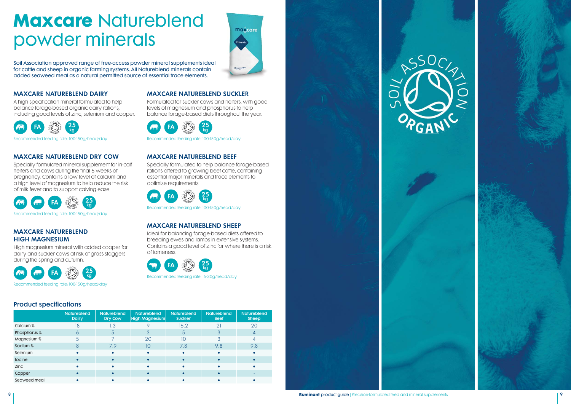## **Maxcare** Natureblend powder minerals

maxcare

Soil Association approved range of free-access powder mineral supplements ideal for cattle and sheep in organic farming systems. All Natureblend minerals contain added seaweed meal as a natural permitted source of essential trace elements.

#### MAXCARE NATUREBLEND DAIRY

A high specification mineral formulated to help balance forage-based organic dairy rations, including good levels of zinc, selenium and copper.



Recommended feeding rate: 100-150g/head/day

#### MAXCARE NATUREBLEND DRY COW

Specially formulated mineral supplement for in-calf heifers and cows during the final 6 weeks of pregnancy. Contains a low level of calcium and a high level of magnesium to help reduce the risk of milk fever and to support calving ease.



Recommended feeding rate: 100-150g/head/day

#### MAXCARE NATUREBLEND HIGH MAGNESIUM

High magnesium mineral with added copper for dairy and suckler cows at risk of grass staggers during the spring and autumn.



Recommended feeding rate: 100-150g/head/day

#### MAXCARE NATUREBLEND SUCKLER

Formulated for suckler cows and heifers, with good levels of magnesium and phosphorus to help balance forage-based diets throughout the year.



Recommended feeding rate: 100-150g/head/day

#### MAXCARE NATUREBLEND BEEF

Specially formulated to help balance forage-based rations offered to growing beef cattle, containing essential major minerals and trace elements to optimise requirements.



Recommended feeding rate: 100-150g/head/day

#### MAXCARE NATUREBLEND SHEEP

Ideal for balancing forage-based diets offered to breeding ewes and lambs in extensive systems. Contains a good level of zinc for where there is a risk of lameness.



Recommended feeding rate: 15-30g/head/day

Product specifications

|               | <b>Natureblend</b><br><b>Dairy</b> | <b>Natureblend</b><br><b>Dry Cow</b> | <b>Natureblend</b><br><b>High Magnesium</b> | <b>Natureblend</b><br><b>Suckler</b> | <b>Natureblend</b><br><b>Beef</b> | <b>Natureblend</b><br><b>Sheep</b> |
|---------------|------------------------------------|--------------------------------------|---------------------------------------------|--------------------------------------|-----------------------------------|------------------------------------|
| Calcium %     | 18                                 | 1.3                                  |                                             | 16.2                                 | 21                                | 20                                 |
| Phosphorus %  |                                    |                                      |                                             | Ċ                                    | 3                                 | 4                                  |
| Magnesium %   |                                    |                                      | 20                                          | 10                                   | 3                                 |                                    |
| Sodium %      |                                    | 7.9                                  | 10                                          | 7.8                                  | 9.8                               | 9.8                                |
| Selenium      |                                    |                                      |                                             | $\bullet$                            |                                   |                                    |
| <b>lodine</b> |                                    |                                      |                                             | $\bullet$                            |                                   |                                    |
| <b>Zinc</b>   |                                    |                                      |                                             |                                      |                                   |                                    |
| Copper        |                                    |                                      |                                             |                                      |                                   |                                    |
| Seaweed meal  |                                    |                                      |                                             |                                      |                                   |                                    |

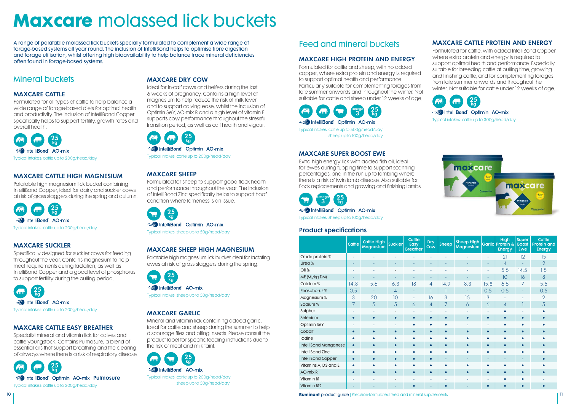# **Maxcare** molassed lick buckets

A range of palatable molassed lick buckets specially formulated to complement a wide range of forage-based systems all year round. The inclusion of IntelliBond helps to optimise fibre digestion and forage utilisation, whilst offering high bioavailability to help balance trace mineral deficiencies often found in forage-based systems.

### Mineral buckets

#### MAXCARE CATTLE

Formulated for all types of cattle to help balance a wide range of forage-based diets for optimal health and productivity. The inclusion of IntelliBond Copper specifically helps to support fertility, growth rates and overall health.



Typical intakes: cattle up to 200g/head/day

#### MAXCARE CATTLE HIGH MAGNESIUM

Palatable high magnesium lick bucket containing IntelliBond Copper, ideal for dairy and suckler cows at risk of grass staggers during the spring and autumn.

25 kg **Research IntelliBond** AO-mix Typical intakes: cattle up to 200g/head/day

#### MAXCARE SUCKLER

Specifically designed for suckler cows for feeding throughout the year. Contains magnesium to help meet requirements during lactation, as well as IntelliBond Copper and a good level of phosphorus to support fertility during the bulling period.



Typical intakes: cattle up to 200g/head/day

#### MAXCARE CATTLE EASY BREATHER

Specialist mineral and vitamin lick for calves and cattle youngstock. Contains Pulmosure; a blend of essential oils that support breathing and the clearing of airways where there is a risk of respiratory disease. Formulated for cattle and sheep, with no added copper, where extra protein and energy is required to support optimal health and performance. Particularly suitable for complementing forages from late summer onwards and throughout the winter. Not suitable for cattle and sheep under 12 weeks of age.



#### MAXCARE DRY COW

Ideal for in-calf cows and heifers during the last 6 weeks of pregnancy. Contains a high level of magnesium to help reduce the risk of milk fever and to support calving ease, whilst the inclusion of Optimin SeY, AO-mix R and a high level of vitamin E supports cow performance throughout the stressful transition period, as well as calf health and vigour.

Formulated for cattle, with added IntelliBond Copper, where extra protein and energy is required to support optimal health and performance. Especially suitable for breeding cattle at bulling time, growing and finishing cattle, and for complementing forages from late summer onwards and throughout the winter. Not suitable for cattle under 12 weeks of age.



Typical intakes: cattle up to 200g/head/day

#### MAXCARE SHEEP

Formulated for sheep to support good flock health and performance throughout the year. The inclusion of IntelliBond Zinc specifically helps to support hoof condition where lameness is an issue.

25 kg Intelli**Bond** Optimin AO-mix Typical intakes: sheep up to 50g/head/day

#### MAXCARE SHEEP HIGH MAGNESIUM

Palatable high magnesium lick bucket ideal for lactating ewes at risk of grass staggers during the spring.

25 kg IntelliBond AO-mix Typical intakes: sheep up to 50g/head/day

#### MAXCARE GARLIC

Mineral and vitamin lick containing added garlic, ideal for cattle and sheep during the summer to help discourage flies and biting insects. Please consult the product label for specific feeding instructions due to the risk of meat and milk taint.

25 kg IntelliBond AO-mix Typical intakes: cattle up to 200g/head/day sheep up to 50g/head/day

### Feed and mineral buckets

#### MAXCARE HIGH PROTEIN AND ENERGY

Omega 3 25 kg IntelliBond Optimin AO-mix Typical intakes: cattle up to 500g/head/day sheep up to 100g/head/day

#### MAXCARE SUPER BOOST EWE

Extra high energy lick with added fish oil, ideal for ewes during tupping time to support scanning percentages, and in the run up to lambing where there is a risk of twin lamb disease. Also suitable for flock replacements and growing and finishing lambs.



#### Intelli**Bond** Optimin AO-mix

Typical intakes: sheep up to 100g/head/day

#### MAXCARE CATTLE PROTEIN AND ENERGY



IntelliBond Optimin AO-mix

Typical intakes: cattle up to 300g/head/day



#### Product specifications

|                         | <b>Cattle</b> | <b>Cattle High</b><br><b>Magnesium</b> | <b>Suckler</b> | <b>Cattle</b><br><b>Easy</b><br><b>Breather</b> | <b>Dry</b><br>Cow | <b>Sheep</b>             | <b>Sheep High</b><br>Magnesium |           | <b>High</b><br>Garlic Protein &<br><b>Energy</b> | <b>Super</b><br><b>Boost</b><br><b>Ewe</b> | Cattle<br><b>Protein and</b><br>Energy |
|-------------------------|---------------|----------------------------------------|----------------|-------------------------------------------------|-------------------|--------------------------|--------------------------------|-----------|--------------------------------------------------|--------------------------------------------|----------------------------------------|
| Crude protein %         |               |                                        |                |                                                 |                   |                          |                                | ٠         | 21                                               | 12                                         | 15                                     |
| Urea %                  |               |                                        |                |                                                 |                   |                          |                                |           | 4                                                |                                            | $\overline{2}$                         |
| Oil %                   |               |                                        |                |                                                 |                   |                          |                                | ٠         | 5.5                                              | 14.5                                       | 1.5                                    |
| ME (MJ/kg DM)           | ٠             | ٠                                      | ٠              | ۰                                               | ٠                 | ٠                        | ٠                              | $\sim$    | 10                                               | 16                                         | 8                                      |
| Calcium %               | 14.8          | 5.6                                    | 6.3            | 18                                              | 4                 | 14.9                     | 8.3                            | 15.8      | 6.5                                              | 7                                          | 5.5                                    |
| Phosphorus %            | 0.5           | ٠                                      | 4              | ۰                                               |                   | $\mathbf{I}$             |                                | 0.5       | 0.5                                              | ٠                                          | 0.5                                    |
| Magnesium %             | 3             | 20                                     | 10             | L,                                              | 16                | 3                        | 15                             | 3         |                                                  |                                            | $\overline{2}$                         |
| Sodium %                | 7             | 5                                      | 5              | 6                                               | 4                 | 7                        | 6                              | 6         | $\overline{4}$                                   |                                            | 5                                      |
| Sulphur                 |               |                                        |                |                                                 |                   | ٠                        |                                | ٠         | $\bullet$                                        |                                            |                                        |
| Selenium                | $\bullet$     | $\bullet$                              | $\bullet$      | $\bullet$                                       | $\bullet$         | $\bullet$                | $\bullet$                      | $\bullet$ | $\bullet$                                        | $\bullet$                                  | $\bullet$                              |
| Optimin SeY             |               |                                        |                |                                                 |                   | $\bullet$                |                                |           | с                                                |                                            |                                        |
| Cobalt                  | $\bullet$     | $\bullet$                              | $\bullet$      | $\bullet$                                       | $\bullet$         | $\bullet$                | $\bullet$                      | $\bullet$ | $\bullet$                                        | $\bullet$                                  | $\bullet$                              |
| Iodine                  |               | $\bullet$                              |                |                                                 | $\bullet$         | $\bullet$                |                                |           | ٠                                                |                                            |                                        |
| IntelliBond Manganese   | $\bullet$     | $\bullet$                              | $\bullet$      | $\bullet$                                       | $\bullet$         | $\bullet$                | $\bullet$                      | $\bullet$ | $\bullet$                                        | $\bullet$                                  | $\bullet$                              |
| <b>IntelliBond Zinc</b> |               | $\bullet$                              |                |                                                 |                   | $\bullet$                |                                | $\bullet$ | ٠                                                |                                            |                                        |
| IntelliBond Copper      | $\bullet$     | $\bullet$                              | $\bullet$      | $\bullet$                                       | $\bullet$         | $\overline{\phantom{a}}$ |                                |           |                                                  |                                            | $\bullet$                              |
| Vitamins A, D3 and E    | $\bullet$     | $\bullet$                              | $\bullet$      | $\bullet$                                       | $\bullet$         | $\bullet$                | $\bullet$                      | $\bullet$ | $\bullet$                                        |                                            |                                        |
| <b>AO-mix R</b>         | $\bullet$     | $\bullet$                              | $\bullet$      | $\bullet$                                       | $\bullet$         | $\bullet$                | $\bullet$                      | $\bullet$ | $\bullet$                                        | $\bullet$                                  | $\bullet$                              |
| Vitamin B1              |               |                                        |                |                                                 |                   |                          |                                |           | ٠                                                |                                            |                                        |
| <b>Vitamin B12</b>      |               |                                        |                | $\bullet$                                       |                   | $\bullet$                |                                | $\bullet$ | $\bullet$                                        |                                            | $\bullet$                              |

**10 Ruminant** product guide | Precision-formulated feed and mineral supplements 11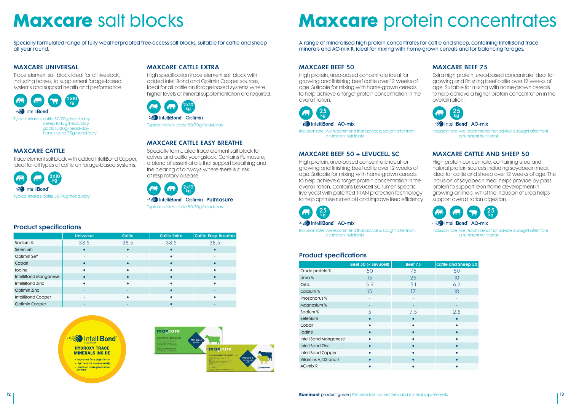# **Maxcare** salt blocks **Maxcare** protein concentrates

A range of mineralised high protein concentrates for cattle and sheep, containing IntelliBond trace minerals and AO-mix R, ideal for mixing with home-grown cereals and for balancing forages.

#### MAXCARE BEEF 50

High protein, urea-based concentrate ideal for growing and finishing beef cattle over 12 weeks of age. Suitable for mixing with home-grown cereals to help achieve a target protein concentration in the overall ration.

25 kg Intelli**Bond** AO-mix



Inclusion rate: we recommend that advice is sought after from a ruminant nutritionist

#### MAXCARE BEEF 50 + LEVUCELL SC

High protein, urea-based concentrate ideal for growing and finishing beef cattle over 12 weeks of age. Suitable for mixing with home-grown cereals to help achieve a target protein concentration in the overall ration. Contains Levucell SC rumen specific live yeast with patented TITAN protection technology to help optimise rumen pH and improve feed efficiency.

Inclusion rate: we recommend that advice is sought after from a ruminant nutritionist

#### MAXCARE BEEF 75

Extra high protein, urea-based concentrate ideal for growing and finishing beef cattle over 12 weeks of age. Suitable for mixing with home-grown cereals to help achieve a higher protein concentration in the overall ration.



#### **Really** Intelli**Bond** AO-mix

Inclusion rate: we recommend that advice is sought after from a ruminant nutritionist

#### MAXCARE CATTLE AND SHEEP 50

High protein concentrate, containing urea and natural protein sources including soyabean meal, ideal for cattle and sheep over 12 weeks of age. The inclusion of soyabean meal helps provide by-pass protein to support lean frame development in growing animals, whilst the inclusion of urea helps support overall ration digestion.



Inclusion rate: we recommend that advice is sought after from a ruminant nutritionist

| Cattle and Sheep 50 |
|---------------------|
| 50                  |
| 10                  |
| 6.2                 |
| 10 <sup>°</sup>     |
|                     |
|                     |
| 2.5                 |
|                     |
|                     |
|                     |
| ė                   |
| Ò                   |
|                     |
|                     |
|                     |

#### Product specifications

|                         | Beef 50 (+ Levucell) | <b>Beef 75</b> | <b>Cattle and Sheep 50</b> |
|-------------------------|----------------------|----------------|----------------------------|
| Crude protein %         | 50                   | 75             | 50                         |
| Urea %                  | 15                   | 25             | 10                         |
| Oil%                    | 5.9                  | 5.1            | 6.2                        |
| Calcium %               | 15                   | 17             | 10                         |
| Phosphorus %            |                      |                |                            |
| Magnesium %             |                      |                |                            |
| Sodium %                | 5                    | 7.5            | 2.5                        |
| Selenium                |                      |                |                            |
| Cobalt                  |                      |                |                            |
| lodine                  |                      |                |                            |
| IntelliBond Manganese   |                      |                |                            |
| <b>IntelliBond Zinc</b> |                      |                |                            |
| IntelliBond Copper      |                      |                |                            |
| Vitamins A, D3 and E    |                      |                |                            |
| AO-mix R                |                      |                |                            |

Specially formulated range of fully weatherproofed free-access salt blocks, suitable for cattle and sheep all year round.

#### MAXCARE UNIVERSAL

Trace element salt block ideal for all livestock, including horses, to supplement forage-based systems and support health and performance.



sheep 10-15g/head/day goats 15-20g/head/day horses up to 75g/head/day

#### MAXCARE CATTLE

Trace element salt block with added IntelliBond Copper, ideal for all types of cattle on forage-based systems.



#### MAXCARE CATTLE EXTRA

High specification trace element salt block with added IntelliBond and Optimin Copper sources, ideal for all cattle on forage-based systems where higher levels of mineral supplementation are required.



Typical intakes: cattle 50-70g/head/day

#### MAXCARE CATTLE EASY BREATHE

Specially formulated trace element salt block for calves and cattle youngstock. Contains Pulmosure; a blend of essential oils that support breathing and the clearing of airways where there is a risk of respiratory disease.



#### Product specifications

|                       | <b>Universal</b> | Cattle | <b>Cattle Extra</b> | <b>Cattle Easy Breathe</b> |
|-----------------------|------------------|--------|---------------------|----------------------------|
| Sodium %              | 38.5             | 38.5   | 38.5                | 38.5                       |
| Selenium              |                  |        |                     |                            |
| Optimin SeY           |                  |        | r                   |                            |
| Cobalt                |                  |        | г                   |                            |
| Iodine                |                  |        |                     |                            |
| IntelliBond Manganese |                  |        |                     |                            |
| IntelliBond Zinc      |                  |        | ٠                   |                            |
| Optimin Zinc          |                  |        |                     |                            |
| IntelliBond Copper    |                  |        |                     |                            |
| <b>Optimin Copper</b> |                  |        |                     |                            |



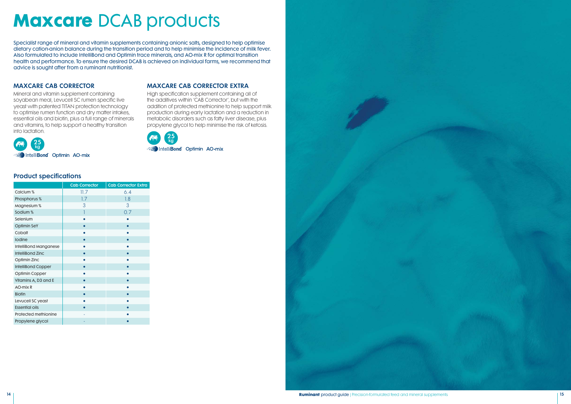# **Maxcare** DCAB products

Specialist range of mineral and vitamin supplements containing anionic salts, designed to help optimise dietary cation-anion balance during the transition period and to help minimise the incidence of milk fever. Also formulated to include IntelliBond and Optimin trace minerals, and AO-mix R for optimal transition health and performance. To ensure the desired DCAB is achieved on individual farms, we recommend that advice is sought after from a ruminant nutritionist.

#### MAXCARE CAB CORRECTOR

Mineral and vitamin supplement containing soyabean meal, Levucell SC rumen specific live yeast with patented TITAN protection technology to optimise rumen function and dry matter intakes, essential oils and biotin, plus a full range of minerals and vitamins, to help support a healthy transition into lactation.



#### MAXCARE CAB CORRECTOR EXTRA

High specification supplement containing all of the additives within 'CAB Corrector', but with the addition of protected methionine to help support milk production during early lactation and a reduction in metabolic disorders such as fatty liver disease, plus propylene glycol to help minimise the risk of ketosis.



#### Product specifications

|                           | <b>Cab Corrector</b> | <b>Cab Corrector Extra</b> |
|---------------------------|----------------------|----------------------------|
| Calcium %                 | 11.7                 | 6.4                        |
| Phosphorus %              | 1.7                  | 1.8                        |
| Magnesium %               | 3                    | 3                          |
| Sodium%                   | 1                    | 0.7                        |
| Selenium                  |                      |                            |
| <b>Optimin SeY</b>        |                      |                            |
| Cobalt                    |                      |                            |
| Iodine                    |                      |                            |
| IntelliBond Manganese     |                      |                            |
| <b>IntelliBond Zinc</b>   |                      |                            |
| Optimin Zinc              |                      |                            |
| <b>IntelliBond Copper</b> |                      |                            |
| Optimin Copper            |                      |                            |
| Vitamins A, D3 and E      |                      |                            |
| AO-mix R                  |                      |                            |
| <b>Biotin</b>             |                      |                            |
| Levucell SC yeast         |                      |                            |
| <b>Essential oils</b>     |                      |                            |
| Protected methionine      |                      |                            |
| Propylene glycol          |                      |                            |